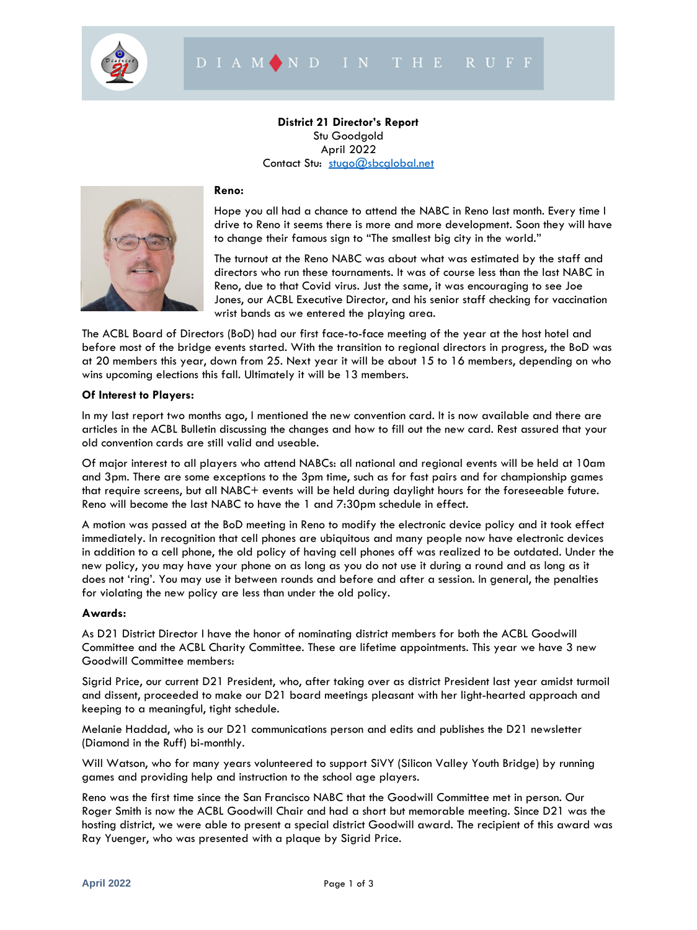

# **District 21 Director's Report** Stu Goodgold April 2022 Contact Stu: [stugo@sbcglobal.net](mailto:stugo@sbcglobal.net)



### **Reno:**

Hope you all had a chance to attend the NABC in Reno last month. Every time I drive to Reno it seems there is more and more development. Soon they will have to change their famous sign to "The smallest big city in the world."

The turnout at the Reno NABC was about what was estimated by the staff and directors who run these tournaments. It was of course less than the last NABC in Reno, due to that Covid virus. Just the same, it was encouraging to see Joe Jones, our ACBL Executive Director, and his senior staff checking for vaccination wrist bands as we entered the playing area.

The ACBL Board of Directors (BoD) had our first face-to-face meeting of the year at the host hotel and before most of the bridge events started. With the transition to regional directors in progress, the BoD was at 20 members this year, down from 25. Next year it will be about 15 to 16 members, depending on who wins upcoming elections this fall. Ultimately it will be 13 members.

### **Of Interest to Players:**

In my last report two months ago, I mentioned the new convention card. It is now available and there are articles in the ACBL Bulletin discussing the changes and how to fill out the new card. Rest assured that your old convention cards are still valid and useable.

Of major interest to all players who attend NABCs: all national and regional events will be held at 10am and 3pm. There are some exceptions to the 3pm time, such as for fast pairs and for championship games that require screens, but all NABC+ events will be held during daylight hours for the foreseeable future. Reno will become the last NABC to have the 1 and 7:30pm schedule in effect.

A motion was passed at the BoD meeting in Reno to modify the electronic device policy and it took effect immediately. In recognition that cell phones are ubiquitous and many people now have electronic devices in addition to a cell phone, the old policy of having cell phones off was realized to be outdated. Under the new policy, you may have your phone on as long as you do not use it during a round and as long as it does not 'ring'. You may use it between rounds and before and after a session. In general, the penalties for violating the new policy are less than under the old policy.

### **Awards:**

As D21 District Director I have the honor of nominating district members for both the ACBL Goodwill Committee and the ACBL Charity Committee. These are lifetime appointments. This year we have 3 new Goodwill Committee members:

Sigrid Price, our current D21 President, who, after taking over as district President last year amidst turmoil and dissent, proceeded to make our D21 board meetings pleasant with her light-hearted approach and keeping to a meaningful, tight schedule.

Melanie Haddad, who is our D21 communications person and edits and publishes the D21 newsletter (Diamond in the Ruff) bi-monthly.

Will Watson, who for many years volunteered to support SiVY (Silicon Valley Youth Bridge) by running games and providing help and instruction to the school age players.

Reno was the first time since the San Francisco NABC that the Goodwill Committee met in person. Our Roger Smith is now the ACBL Goodwill Chair and had a short but memorable meeting. Since D21 was the hosting district, we were able to present a special district Goodwill award. The recipient of this award was Ray Yuenger, who was presented with a plaque by Sigrid Price.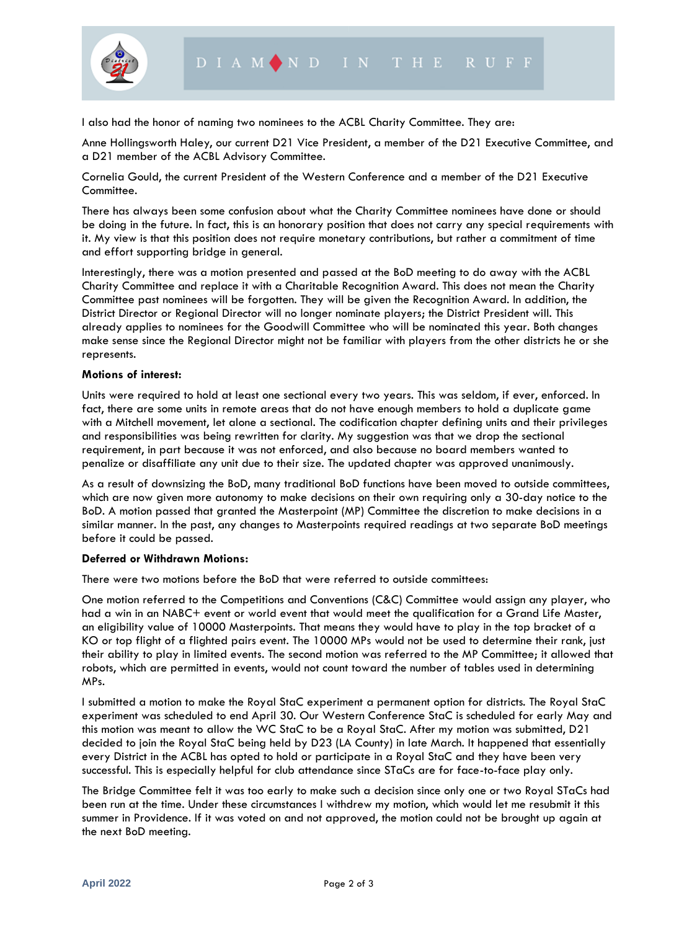

I also had the honor of naming two nominees to the ACBL Charity Committee. They are:

Anne Hollingsworth Haley, our current D21 Vice President, a member of the D21 Executive Committee, and a D21 member of the ACBL Advisory Committee.

Cornelia Gould, the current President of the Western Conference and a member of the D21 Executive Committee.

There has always been some confusion about what the Charity Committee nominees have done or should be doing in the future. In fact, this is an honorary position that does not carry any special requirements with it. My view is that this position does not require monetary contributions, but rather a commitment of time and effort supporting bridge in general.

Interestingly, there was a motion presented and passed at the BoD meeting to do away with the ACBL Charity Committee and replace it with a Charitable Recognition Award. This does not mean the Charity Committee past nominees will be forgotten. They will be given the Recognition Award. In addition, the District Director or Regional Director will no longer nominate players; the District President will. This already applies to nominees for the Goodwill Committee who will be nominated this year. Both changes make sense since the Regional Director might not be familiar with players from the other districts he or she represents.

### **Motions of interest:**

Units were required to hold at least one sectional every two years. This was seldom, if ever, enforced. In fact, there are some units in remote areas that do not have enough members to hold a duplicate game with a Mitchell movement, let alone a sectional. The codification chapter defining units and their privileges and responsibilities was being rewritten for clarity. My suggestion was that we drop the sectional requirement, in part because it was not enforced, and also because no board members wanted to penalize or disaffiliate any unit due to their size. The updated chapter was approved unanimously.

As a result of downsizing the BoD, many traditional BoD functions have been moved to outside committees, which are now given more autonomy to make decisions on their own requiring only a 30-day notice to the BoD. A motion passed that granted the Masterpoint (MP) Committee the discretion to make decisions in a similar manner. In the past, any changes to Masterpoints required readings at two separate BoD meetings before it could be passed.

#### **Deferred or Withdrawn Motions:**

There were two motions before the BoD that were referred to outside committees:

One motion referred to the Competitions and Conventions (C&C) Committee would assign any player, who had a win in an NABC+ event or world event that would meet the qualification for a Grand Life Master, an eligibility value of 10000 Masterpoints. That means they would have to play in the top bracket of a KO or top flight of a flighted pairs event. The 10000 MPs would not be used to determine their rank, just their ability to play in limited events. The second motion was referred to the MP Committee; it allowed that robots, which are permitted in events, would not count toward the number of tables used in determining MPs.

I submitted a motion to make the Royal StaC experiment a permanent option for districts. The Royal StaC experiment was scheduled to end April 30. Our Western Conference StaC is scheduled for early May and this motion was meant to allow the WC StaC to be a Royal StaC. After my motion was submitted, D21 decided to join the Royal StaC being held by D23 (LA County) in late March. It happened that essentially every District in the ACBL has opted to hold or participate in a Royal StaC and they have been very successful. This is especially helpful for club attendance since STaCs are for face-to-face play only.

The Bridge Committee felt it was too early to make such a decision since only one or two Royal STaCs had been run at the time. Under these circumstances I withdrew my motion, which would let me resubmit it this summer in Providence. If it was voted on and not approved, the motion could not be brought up again at the next BoD meeting.